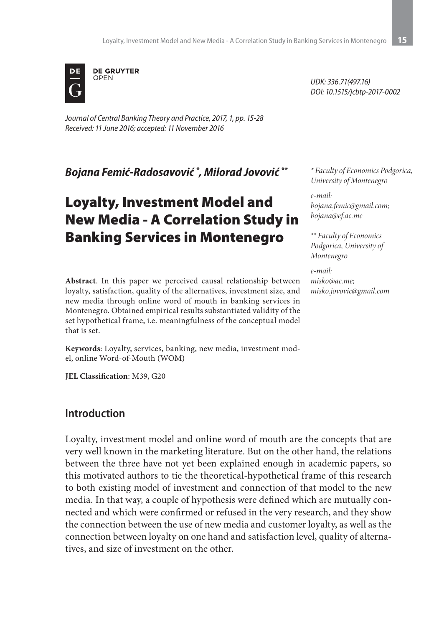

*Journal of Central Banking Theory and Practice, 2017, 1, pp. 15-28 Received: 11 June 2016; accepted: 11 November 2016*

*Bojana Femić-Radosavović \* , Milorad Jovović \*\**

# Loyalty, Investment Model and New Media - A Correlation Study in Banking Services in Montenegro

**Abstract**. In this paper we perceived causal relationship between loyalty, satisfaction, quality of the alternatives, investment size, and new media through online word of mouth in banking services in Montenegro. Obtained empirical results substantiated validity of the set hypothetical frame, i.e. meaningfulness of the conceptual model that is set.

**Keywords**: Loyalty, services, banking, new media, investment model, online Word-of-Mouth (WOM)

**JEL Classification**: M39, G20

#### **Introduction**

Loyalty, investment model and online word of mouth are the concepts that are very well known in the marketing literature. But on the other hand, the relations between the three have not yet been explained enough in academic papers, so this motivated authors to tie the theoretical-hypothetical frame of this research to both existing model of investment and connection of that model to the new media. In that way, a couple of hypothesis were defined which are mutually connected and which were confirmed or refused in the very research, and they show the connection between the use of new media and customer loyalty, as well as the connection between loyalty on one hand and satisfaction level, quality of alternatives, and size of investment on the other.

*UDK: 336.71(497.16) DOI: 10.1515/jcbtp-2017-0002*

*\* Faculty of Economics Podgorica, University of Montenegro*

*e-mail: bojana.femic@gmail.com; bojana@ef.ac.me*

*\*\* Faculty of Economics Podgorica, University of Montenegro*

*e-mail: misko@ac.me; misko.jovovic@gmail.com*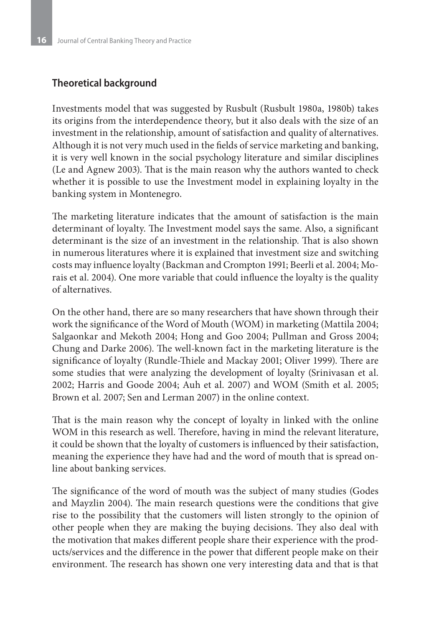#### **Theoretical background**

Investments model that was suggested by Rusbult (Rusbult 1980a, 1980b) takes its origins from the interdependence theory, but it also deals with the size of an investment in the relationship, amount of satisfaction and quality of alternatives. Although it is not very much used in the fields of service marketing and banking, it is very well known in the social psychology literature and similar disciplines (Le and Agnew 2003). That is the main reason why the authors wanted to check whether it is possible to use the Investment model in explaining loyalty in the banking system in Montenegro.

The marketing literature indicates that the amount of satisfaction is the main determinant of loyalty. The Investment model says the same. Also, a significant determinant is the size of an investment in the relationship. That is also shown in numerous literatures where it is explained that investment size and switching costs may influence loyalty (Backman and Crompton 1991; Beerli et al. 2004; Morais et al. 2004). One more variable that could influence the loyalty is the quality of alternatives.

On the other hand, there are so many researchers that have shown through their work the significance of the Word of Mouth (WOM) in marketing (Mattila 2004; Salgaonkar and Mekoth 2004; Hong and Goo 2004; Pullman and Gross 2004; Chung and Darke 2006). The well-known fact in the marketing literature is the significance of loyalty (Rundle-Thiele and Mackay 2001; Oliver 1999). There are some studies that were analyzing the development of loyalty (Srinivasan et al. 2002; Harris and Goode 2004; Auh et al. 2007) and WOM (Smith et al. 2005; Brown et al. 2007; Sen and Lerman 2007) in the online context.

That is the main reason why the concept of loyalty in linked with the online WOM in this research as well. Therefore, having in mind the relevant literature, it could be shown that the loyalty of customers is influenced by their satisfaction, meaning the experience they have had and the word of mouth that is spread online about banking services.

The significance of the word of mouth was the subject of many studies (Godes and Mayzlin 2004). The main research questions were the conditions that give rise to the possibility that the customers will listen strongly to the opinion of other people when they are making the buying decisions. They also deal with the motivation that makes different people share their experience with the products/services and the difference in the power that different people make on their environment. The research has shown one very interesting data and that is that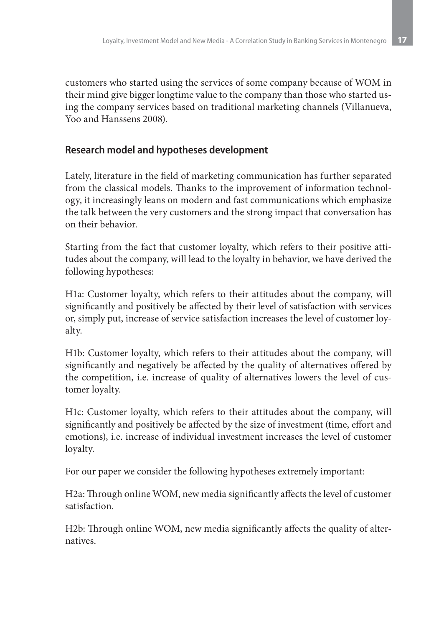customers who started using the services of some company because of WOM in their mind give bigger longtime value to the company than those who started using the company services based on traditional marketing channels (Villanueva, Yoo and Hanssens 2008).

#### **Research model and hypotheses development**

Lately, literature in the field of marketing communication has further separated from the classical models. Thanks to the improvement of information technology, it increasingly leans on modern and fast communications which emphasize the talk between the very customers and the strong impact that conversation has on their behavior.

Starting from the fact that customer loyalty, which refers to their positive attitudes about the company, will lead to the loyalty in behavior, we have derived the following hypotheses:

H1a: Customer loyalty, which refers to their attitudes about the company, will significantly and positively be affected by their level of satisfaction with services or, simply put, increase of service satisfaction increases the level of customer loyalty.

H1b: Customer loyalty, which refers to their attitudes about the company, will significantly and negatively be affected by the quality of alternatives offered by the competition, i.e. increase of quality of alternatives lowers the level of customer loyalty.

H1c: Customer loyalty, which refers to their attitudes about the company, will significantly and positively be affected by the size of investment (time, effort and emotions), i.e. increase of individual investment increases the level of customer loyalty.

For our paper we consider the following hypotheses extremely important:

H2a: Through online WOM, new media significantly affects the level of customer satisfaction.

H2b: Through online WOM, new media significantly affects the quality of alternatives.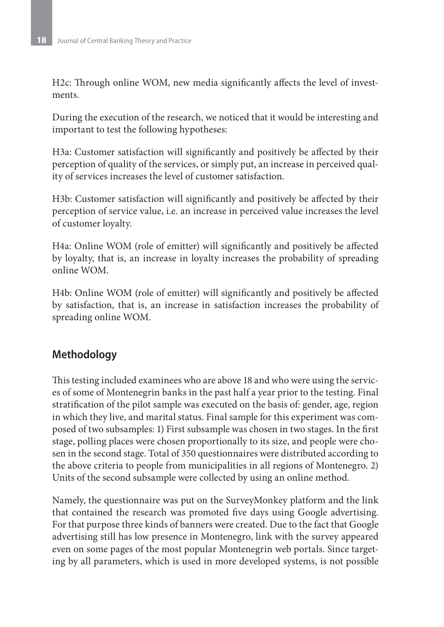H2c: Through online WOM, new media significantly affects the level of investments.

During the execution of the research, we noticed that it would be interesting and important to test the following hypotheses:

H3a: Customer satisfaction will significantly and positively be affected by their perception of quality of the services, or simply put, an increase in perceived quality of services increases the level of customer satisfaction.

H3b: Customer satisfaction will significantly and positively be affected by their perception of service value, i.e. an increase in perceived value increases the level of customer loyalty.

H4a: Online WOM (role of emitter) will significantly and positively be affected by loyalty, that is, an increase in loyalty increases the probability of spreading online WOM.

H4b: Online WOM (role of emitter) will significantly and positively be affected by satisfaction, that is, an increase in satisfaction increases the probability of spreading online WOM.

## **Methodology**

This testing included examinees who are above 18 and who were using the services of some of Montenegrin banks in the past half a year prior to the testing. Final stratification of the pilot sample was executed on the basis of: gender, age, region in which they live, and marital status. Final sample for this experiment was composed of two subsamples: 1) First subsample was chosen in two stages. In the first stage, polling places were chosen proportionally to its size, and people were chosen in the second stage. Total of 350 questionnaires were distributed according to the above criteria to people from municipalities in all regions of Montenegro. 2) Units of the second subsample were collected by using an online method.

Namely, the questionnaire was put on the SurveyMonkey platform and the link that contained the research was promoted five days using Google advertising. For that purpose three kinds of banners were created. Due to the fact that Google advertising still has low presence in Montenegro, link with the survey appeared even on some pages of the most popular Montenegrin web portals. Since targeting by all parameters, which is used in more developed systems, is not possible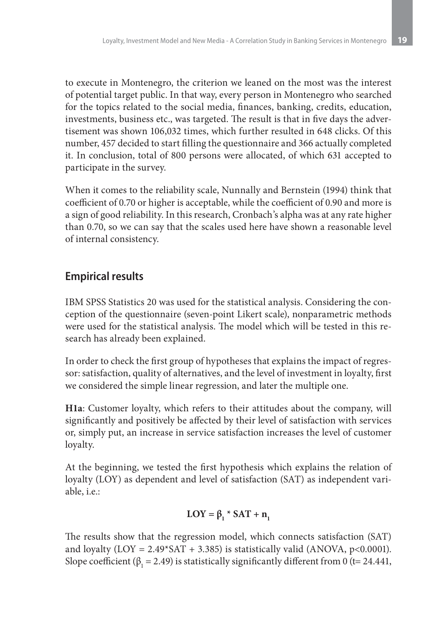to execute in Montenegro, the criterion we leaned on the most was the interest of potential target public. In that way, every person in Montenegro who searched for the topics related to the social media, finances, banking, credits, education, investments, business etc., was targeted. The result is that in five days the advertisement was shown 106,032 times, which further resulted in 648 clicks. Of this number, 457 decided to start filling the questionnaire and 366 actually completed it. In conclusion, total of 800 persons were allocated, of which 631 accepted to participate in the survey.

When it comes to the reliability scale, Nunnally and Bernstein (1994) think that coefficient of 0.70 or higher is acceptable, while the coefficient of 0.90 and more is a sign of good reliability. In this research, Cronbach's alpha was at any rate higher than 0.70, so we can say that the scales used here have shown a reasonable level of internal consistency.

### **Empirical results**

IBM SPSS Statistics 20 was used for the statistical analysis. Considering the conception of the questionnaire (seven-point Likert scale), nonparametric methods were used for the statistical analysis. The model which will be tested in this research has already been explained.

In order to check the first group of hypotheses that explains the impact of regressor: satisfaction, quality of alternatives, and the level of investment in loyalty, first we considered the simple linear regression, and later the multiple one.

**H1a**: Customer loyalty, which refers to their attitudes about the company, will significantly and positively be affected by their level of satisfaction with services or, simply put, an increase in service satisfaction increases the level of customer loyalty.

At the beginning, we tested the first hypothesis which explains the relation of loyalty (LOY) as dependent and level of satisfaction (SAT) as independent variable, i.e.:

$$
LOY = \beta_1 * SAT + n_1
$$

The results show that the regression model, which connects satisfaction (SAT) and loyalty (LOY =  $2.49*SAT + 3.385$ ) is statistically valid (ANOVA, p<0.0001). Slope coefficient ( $\beta_1$  = 2.49) is statistically significantly different from 0 (t= 24.441,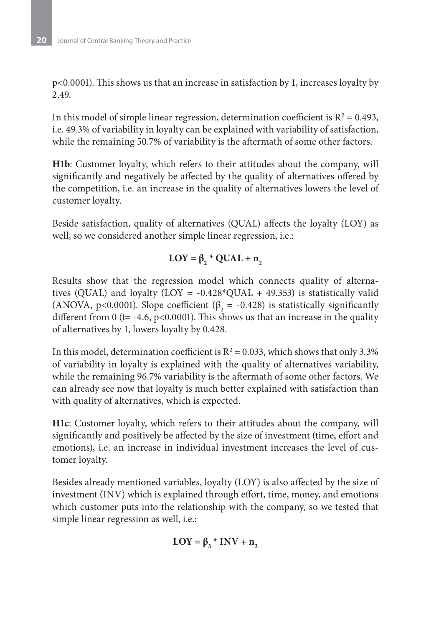p<0.0001). This shows us that an increase in satisfaction by 1, increases loyalty by 2.49.

In this model of simple linear regression, determination coefficient is  $R^2 = 0.493$ , i.e. 49.3% of variability in loyalty can be explained with variability of satisfaction, while the remaining 50.7% of variability is the aftermath of some other factors.

**H1b**: Customer loyalty, which refers to their attitudes about the company, will significantly and negatively be affected by the quality of alternatives offered by the competition, i.e. an increase in the quality of alternatives lowers the level of customer loyalty.

Beside satisfaction, quality of alternatives (QUAL) affects the loyalty (LOY) as well, so we considered another simple linear regression, i.e.:

# $LOY = \beta_2^* QUAL + n_2^*$

Results show that the regression model which connects quality of alternatives (QUAL) and loyalty (LOY =  $-0.428$ <sup>\*</sup>QUAL + 49.353) is statistically valid (ANOVA, p<0.0001). Slope coefficient ( $\beta_2$  = -0.428) is statistically significantly different from 0 (t=  $-4.6$ , p<0.0001). This shows us that an increase in the quality of alternatives by 1, lowers loyalty by 0.428.

In this model, determination coefficient is  $R^2 = 0.033$ , which shows that only 3.3% of variability in loyalty is explained with the quality of alternatives variability, while the remaining 96.7% variability is the aftermath of some other factors. We can already see now that loyalty is much better explained with satisfaction than with quality of alternatives, which is expected.

**H1c**: Customer loyalty, which refers to their attitudes about the company, will significantly and positively be affected by the size of investment (time, effort and emotions), i.e. an increase in individual investment increases the level of customer loyalty.

Besides already mentioned variables, loyalty (LOY) is also affected by the size of investment (INV) which is explained through effort, time, money, and emotions which customer puts into the relationship with the company, so we tested that simple linear regression as well, i.e.:

$$
LOY = \beta_3 * INV + n_3
$$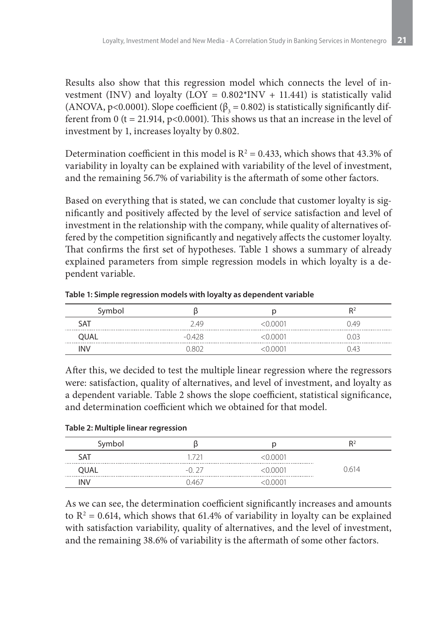Results also show that this regression model which connects the level of investment (INV) and loyalty (LOY =  $0.802*$ INV + 11.441) is statistically valid (ANOVA, p<0.0001). Slope coefficient ( $\beta_3 = 0.802$ ) is statistically significantly different from 0 (t = 21.914, p<0.0001). This shows us that an increase in the level of investment by 1, increases loyalty by 0.802.

Determination coefficient in this model is  $R^2 = 0.433$ , which shows that 43.3% of variability in loyalty can be explained with variability of the level of investment, and the remaining 56.7% of variability is the aftermath of some other factors.

Based on everything that is stated, we can conclude that customer loyalty is significantly and positively affected by the level of service satisfaction and level of investment in the relationship with the company, while quality of alternatives offered by the competition significantly and negatively affects the customer loyalty. That confirms the first set of hypotheses. Table 1 shows a summary of already explained parameters from simple regression models in which loyalty is a dependent variable.

| Symbol      |          |           | R <sup>2</sup> |
|-------------|----------|-----------|----------------|
| SAT         | 2.49     | <0.0001   | 0.49           |
| <b>OUAL</b> | $-0.428$ | <0.0001   | 0.03           |
| <b>INV</b>  | N 802    | $-0.0001$ | 043            |

**Table 1: Simple regression models with loyalty as dependent variable**

After this, we decided to test the multiple linear regression where the regressors were: satisfaction, quality of alternatives, and level of investment, and loyalty as a dependent variable. Table 2 shows the slope coefficient, statistical significance, and determination coefficient which we obtained for that model.

**Table 2: Multiple linear regression** 

| Symbol |         |         | R <sup>2</sup> |
|--------|---------|---------|----------------|
| SAT    | 1.721   | <0.0001 |                |
| OUAL   | $-0.27$ | <0.0001 | 0.614          |
| INV    | በ 467   | N 0001  |                |

As we can see, the determination coefficient significantly increases and amounts to  $R^2$  = 0.614, which shows that 61.4% of variability in loyalty can be explained with satisfaction variability, quality of alternatives, and the level of investment, and the remaining 38.6% of variability is the aftermath of some other factors.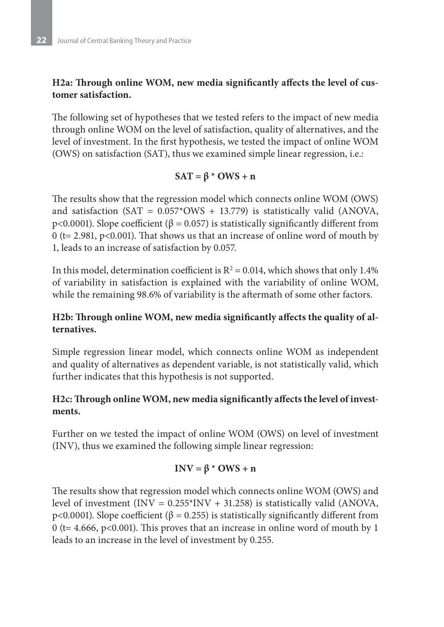#### **H2a: Through online WOM, new media significantly affects the level of customer satisfaction.**

The following set of hypotheses that we tested refers to the impact of new media through online WOM on the level of satisfaction, quality of alternatives, and the level of investment. In the first hypothesis, we tested the impact of online WOM (OWS) on satisfaction (SAT), thus we examined simple linear regression, i.e.:

#### $SAT = \beta * OWS + n$

The results show that the regression model which connects online WOM (OWS) and satisfaction (SAT =  $0.057*$ OWS + 13.779) is statistically valid (ANOVA, p<0.0001). Slope coefficient (β = 0.057) is statistically significantly different from 0 (t= 2.981, p<0.001). That shows us that an increase of online word of mouth by 1, leads to an increase of satisfaction by 0.057.

In this model, determination coefficient is  $R^2$  = 0.014, which shows that only 1.4% of variability in satisfaction is explained with the variability of online WOM, while the remaining 98.6% of variability is the aftermath of some other factors.

#### **H2b: Through online WOM, new media significantly affects the quality of alternatives.**

Simple regression linear model, which connects online WOM as independent and quality of alternatives as dependent variable, is not statistically valid, which further indicates that this hypothesis is not supported.

#### **H2c: Through online WOM, new media significantly affects the level of investments.**

Further on we tested the impact of online WOM (OWS) on level of investment (INV), thus we examined the following simple linear regression:

#### **INV = β \* OWS + n**

The results show that regression model which connects online WOM (OWS) and level of investment (INV =  $0.255*$ INV + 31.258) is statistically valid (ANOVA, p<0.0001). Slope coefficient (β = 0.255) is statistically significantly different from 0 (t= 4.666, p<0.001). This proves that an increase in online word of mouth by 1 leads to an increase in the level of investment by 0.255.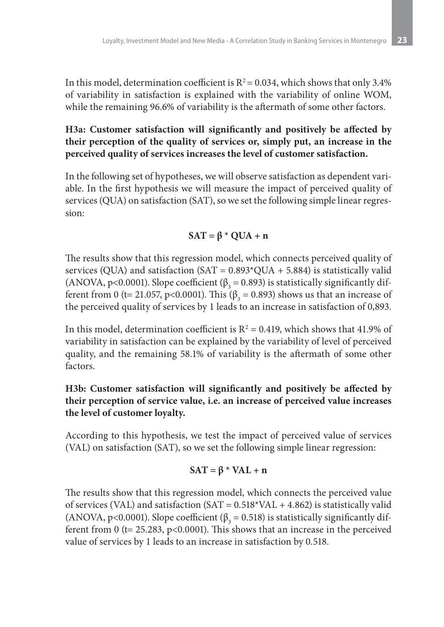In this model, determination coefficient is  $R^2 = 0.034$ , which shows that only 3.4% of variability in satisfaction is explained with the variability of online WOM, while the remaining 96.6% of variability is the aftermath of some other factors.

**H3a: Customer satisfaction will significantly and positively be affected by their perception of the quality of services or, simply put, an increase in the perceived quality of services increases the level of customer satisfaction.**

In the following set of hypotheses, we will observe satisfaction as dependent variable. In the first hypothesis we will measure the impact of perceived quality of services (QUA) on satisfaction (SAT), so we set the following simple linear regression:

#### $SAT = \beta * QUA + n$

The results show that this regression model, which connects perceived quality of services (QUA) and satisfaction (SAT = 0.893\*QUA + 5.884) is statistically valid (ANOVA, p<0.0001). Slope coefficient ( $\beta_3 = 0.893$ ) is statistically significantly different from 0 (t= 21.057, p<0.0001). This ( $\beta_3$  = 0.893) shows us that an increase of the perceived quality of services by 1 leads to an increase in satisfaction of 0,893.

In this model, determination coefficient is  $R^2 = 0.419$ , which shows that 41.9% of variability in satisfaction can be explained by the variability of level of perceived quality, and the remaining 58.1% of variability is the aftermath of some other factors.

#### **H3b: Customer satisfaction will significantly and positively be affected by their perception of service value, i.e. an increase of perceived value increases the level of customer loyalty.**

According to this hypothesis, we test the impact of perceived value of services (VAL) on satisfaction (SAT), so we set the following simple linear regression:

#### $SAT = \beta * VAL + n$

The results show that this regression model, which connects the perceived value of services (VAL) and satisfaction  $(SAT = 0.518*VAL + 4.862)$  is statistically valid (ANOVA, p<0.0001). Slope coefficient ( $\beta_3 = 0.518$ ) is statistically significantly different from 0 ( $t = 25.283$ ,  $p < 0.0001$ ). This shows that an increase in the perceived value of services by 1 leads to an increase in satisfaction by 0.518.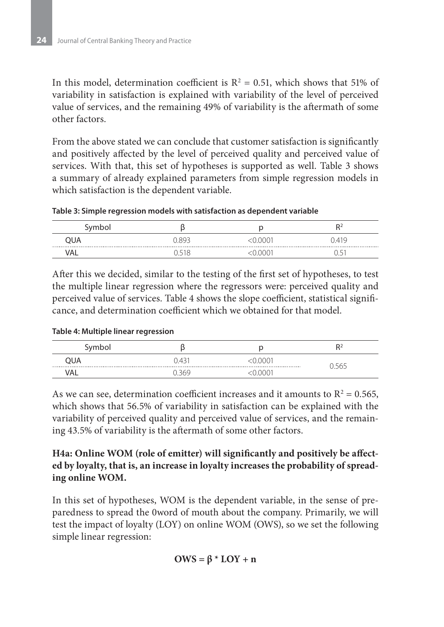In this model, determination coefficient is  $R^2 = 0.51$ , which shows that 51% of variability in satisfaction is explained with variability of the level of perceived value of services, and the remaining 49% of variability is the aftermath of some other factors.

From the above stated we can conclude that customer satisfaction is significantly and positively affected by the level of perceived quality and perceived value of services. With that, this set of hypotheses is supported as well. Table 3 shows a summary of already explained parameters from simple regression models in which satisfaction is the dependent variable.

**Table 3: Simple regression models with satisfaction as dependent variable**

| Symbol       |       |      | D <sub>2</sub>      |
|--------------|-------|------|---------------------|
| QUA          | 7.893 | იიი  | ገ 419               |
| -----<br>VAL |       | חרור | <u>L</u><br><b></b> |

After this we decided, similar to the testing of the first set of hypotheses, to test the multiple linear regression where the regressors were: perceived quality and perceived value of services. Table 4 shows the slope coefficient, statistical significance, and determination coefficient which we obtained for that model.

|  | Table 4: Multiple linear regression |
|--|-------------------------------------|
|--|-------------------------------------|

| $\cdots$<br>ושטו<br>ັ |       |  | $R^2$    |
|-----------------------|-------|--|----------|
| QUA                   | 0.431 |  | $\smile$ |
| VAL                   |       |  |          |

As we can see, determination coefficient increases and it amounts to  $R^2 = 0.565$ , which shows that 56.5% of variability in satisfaction can be explained with the variability of perceived quality and perceived value of services, and the remaining 43.5% of variability is the aftermath of some other factors.

#### **H4a: Online WOM (role of emitter) will significantly and positively be affected by loyalty, that is, an increase in loyalty increases the probability of spreading online WOM.**

In this set of hypotheses, WOM is the dependent variable, in the sense of preparedness to spread the 0word of mouth about the company. Primarily, we will test the impact of loyalty (LOY) on online WOM (OWS), so we set the following simple linear regression:

$$
OWS = \beta * LOY + n
$$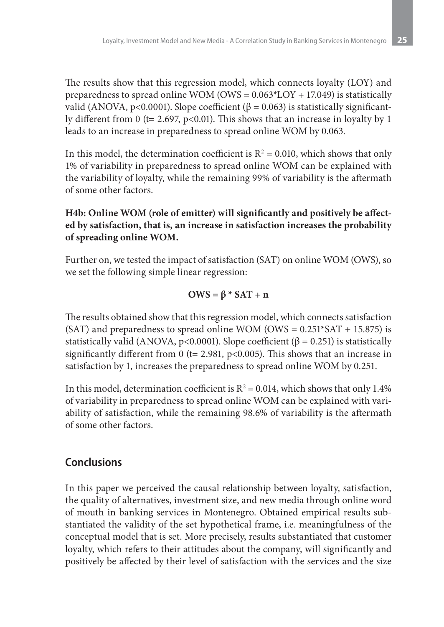The results show that this regression model, which connects loyalty (LOY) and preparedness to spread online WOM ( $OWS = 0.063*$ LOY + 17.049) is statistically valid (ANOVA, p<0.0001). Slope coefficient (β = 0.063) is statistically significantly different from 0 (t= 2.697, p<0.01). This shows that an increase in loyalty by 1 leads to an increase in preparedness to spread online WOM by 0.063.

In this model, the determination coefficient is  $R^2 = 0.010$ , which shows that only 1% of variability in preparedness to spread online WOM can be explained with the variability of loyalty, while the remaining 99% of variability is the aftermath of some other factors.

#### **H4b: Online WOM (role of emitter) will significantly and positively be affected by satisfaction, that is, an increase in satisfaction increases the probability of spreading online WOM.**

Further on, we tested the impact of satisfaction (SAT) on online WOM (OWS), so we set the following simple linear regression:

$$
OWS = \beta * SAT + n
$$

The results obtained show that this regression model, which connects satisfaction (SAT) and preparedness to spread online WOM (OWS =  $0.251*SAT + 15.875$ ) is statistically valid (ANOVA, p<0.0001). Slope coefficient ( $\beta$  = 0.251) is statistically significantly different from 0 (t= 2.981, p<0.005). This shows that an increase in satisfaction by 1, increases the preparedness to spread online WOM by 0.251.

In this model, determination coefficient is  $R^2$  = 0.014, which shows that only 1.4% of variability in preparedness to spread online WOM can be explained with variability of satisfaction, while the remaining 98.6% of variability is the aftermath of some other factors.

## **Conclusions**

In this paper we perceived the causal relationship between loyalty, satisfaction, the quality of alternatives, investment size, and new media through online word of mouth in banking services in Montenegro. Obtained empirical results substantiated the validity of the set hypothetical frame, i.e. meaningfulness of the conceptual model that is set. More precisely, results substantiated that customer loyalty, which refers to their attitudes about the company, will significantly and positively be affected by their level of satisfaction with the services and the size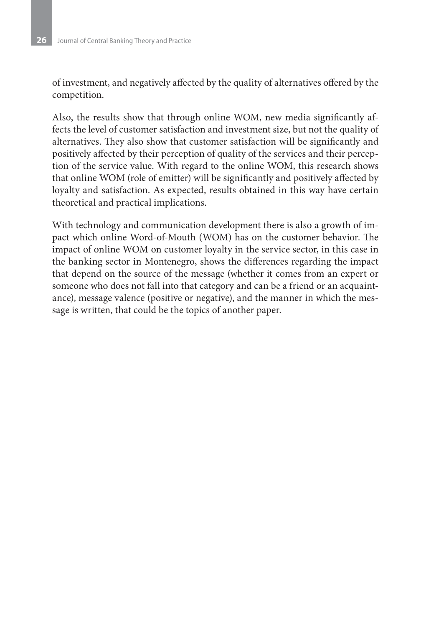of investment, and negatively affected by the quality of alternatives offered by the competition.

Also, the results show that through online WOM, new media significantly affects the level of customer satisfaction and investment size, but not the quality of alternatives. They also show that customer satisfaction will be significantly and positively affected by their perception of quality of the services and their perception of the service value. With regard to the online WOM, this research shows that online WOM (role of emitter) will be significantly and positively affected by loyalty and satisfaction. As expected, results obtained in this way have certain theoretical and practical implications.

With technology and communication development there is also a growth of impact which online Word-of-Mouth (WOM) has on the customer behavior. The impact of online WOM on customer loyalty in the service sector, in this case in the banking sector in Montenegro, shows the differences regarding the impact that depend on the source of the message (whether it comes from an expert or someone who does not fall into that category and can be a friend or an acquaintance), message valence (positive or negative), and the manner in which the message is written, that could be the topics of another paper.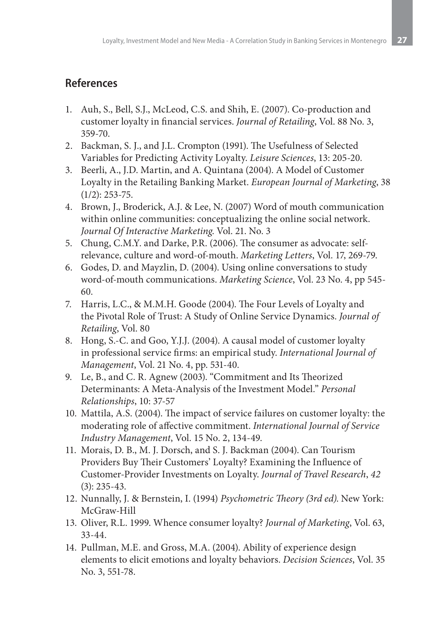# **References**

- 1. Auh, S., Bell, S.J., McLeod, C.S. and Shih, E. (2007). Co-production and customer loyalty in financial services. *Journal of Retailing*, Vol. 88 No. 3, 359-70.
- 2. Backman, S. J., and J.L. Crompton (1991). The Usefulness of Selected Variables for Predicting Activity Loyalty. *Leisure Sciences*, 13: 205-20.
- 3. Beerli, A., J.D. Martin, and A. Quintana (2004). A Model of Customer Loyalty in the Retailing Banking Market. *European Journal of Marketing*, 38 (1/2): 253-75.
- 4. Brown, J., Broderick, A.J. & Lee, N. (2007) Word of mouth communication within online communities: conceptualizing the online social network. *Journal Of Interactive Marketing*. Vol. 21. No. 3
- 5. Chung, C.M.Y. and Darke, P.R. (2006). The consumer as advocate: selfrelevance, culture and word-of-mouth. *Marketing Letters*, Vol. 17, 269-79.
- 6. Godes, D. and Mayzlin, D. (2004). Using online conversations to study word-of-mouth communications. *Marketing Science*, Vol. 23 No. 4, pp 545- 60.
- 7. Harris, L.C., & M.M.H. Goode (2004). The Four Levels of Loyalty and the Pivotal Role of Trust: A Study of Online Service Dynamics. *Journal of Retailing*, Vol. 80
- 8. Hong, S.-C. and Goo, Y.J.J. (2004). A causal model of customer loyalty in professional service firms: an empirical study. *International Journal of Management*, Vol. 21 No. 4, pp. 531-40.
- 9. Le, B., and C. R. Agnew (2003). "Commitment and Its Theorized Determinants: A Meta-Analysis of the Investment Model." *Personal Relationships*, 10: 37-57
- 10. Mattila, A.S. (2004). The impact of service failures on customer loyalty: the moderating role of affective commitment. *International Journal of Service Industry Management*, Vol. 15 No. 2, 134-49.
- 11. Morais, D. B., M. J. Dorsch, and S. J. Backman (2004). Can Tourism Providers Buy Their Customers' Loyalty? Examining the Influence of Customer-Provider Investments on Loyalty. *Journal of Travel Research*, *42* (3): 235-43.
- 12. Nunnally, J. & Bernstein, I. (1994) *Psychometric Theory (3rd ed)*. New York: McGraw-Hill
- 13. Oliver, R.L. 1999. Whence consumer loyalty? *Journal of Marketing*, Vol. 63, 33-44.
- 14. Pullman, M.E. and Gross, M.A. (2004). Ability of experience design elements to elicit emotions and loyalty behaviors. *Decision Sciences*, Vol. 35 No. 3, 551-78.